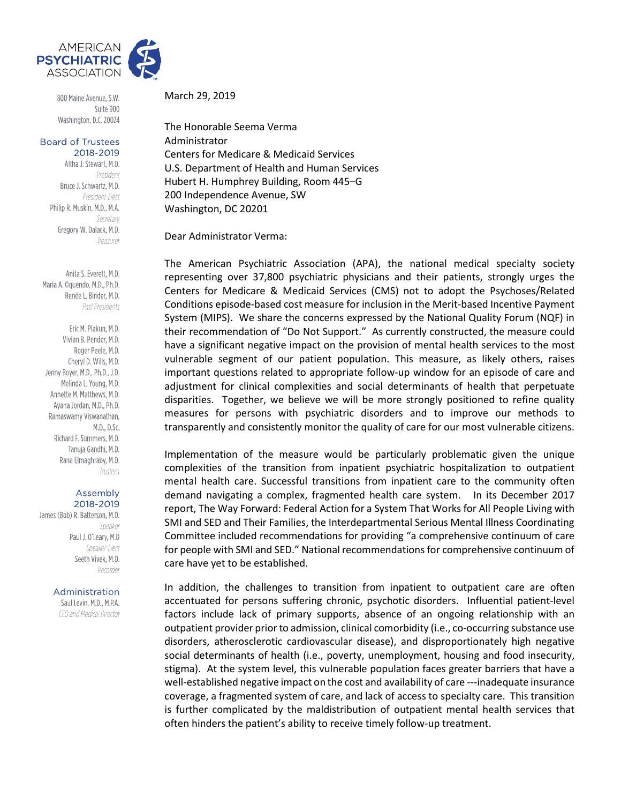

800 Maine Avenue, S.W. Suite 900 Washington, D.C. 20024

## **Board of Trustees** 2018-2019

Altha J. Stewart, M.D. President Bruce J. Schwartz, M.D. President-Elect Philip R. Muskin, M.D., M.A. Secretary Gregory W. Dalack, M.D. Treasurer

Anita S. Everett, M.D. Maria A. Oquendo, M.D., Ph.D. Renée L. Binder, M.D. Past Presidents

Eric M. Plakun, M.D. Vivian B. Pender, M.D. Roger Peele, M.D. Cheryl D. Wills, M.D. Jenny Boyer, M.D., Ph.D., J.D. Melinda L. Young, M.D. Annette M. Matthews, M.D. Ayana Jordan, M.D., Ph.D. Ramaswamy Viswanathan, M.D., D.Sc. Richard F. Summers, M.D. Tanuja Gandhi, M.D. Rana Elmaghraby, M.D. Trustees

## Assembly 2018-2019

James (Bob) R. Batterson, M.D. Speaker Paul J. O'Leary, M.D Speaker-Elect Seeth Vivek, M.D. Recorder

## Administration

Saul Levin, M.D., M.P.A. CEO and Medical Director

March 29, 2019

The Honorable Seema Verma Administrator Centers for Medicare & Medicaid Services U.S. Department of Health and Human Services Hubert H. Humphrey Building, Room 445–G 200 Independence Avenue, SW Washington, DC 20201

Dear Administrator Verma:

The American Psychiatric Association (APA), the national medical specialty society representing over 37,800 psychiatric physicians and their patients, strongly urges the Centers for Medicare & Medicaid Services (CMS) not to adopt the Psychoses/Related Conditions episode-based cost measure for inclusion in the Merit-based Incentive Payment System (MIPS). We share the concerns expressed by the National Quality Forum (NQF) in their recommendation of "Do Not Support." As currently constructed, the measure could have a significant negative impact on the provision of mental health services to the most vulnerable segment of our patient population. This measure, as likely others, raises important questions related to appropriate follow-up window for an episode of care and adjustment for clinical complexities and social determinants of health that perpetuate disparities. Together, we believe we will be more strongly positioned to refine quality measures for persons with psychiatric disorders and to improve our methods to transparently and consistently monitor the quality of care for our most vulnerable citizens.

Implementation of the measure would be particularly problematic given the unique complexities of the transition from inpatient psychiatric hospitalization to outpatient mental health care. Successful transitions from inpatient care to the community often demand navigating a complex, fragmented health care system. In its December 2017 report, The Way Forward: Federal Action for a System That Works for All People Living with SMI and SED and Their Families, the Interdepartmental Serious Mental Illness Coordinating Committee included recommendations for providing "a comprehensive continuum of care for people with SMI and SED." National recommendations for comprehensive continuum of care have yet to be established.

In addition, the challenges to transition from inpatient to outpatient care are often accentuated for persons suffering chronic, psychotic disorders. Influential patient-level factors include lack of primary supports, absence of an ongoing relationship with an outpatient provider prior to admission, clinical comorbidity (i.e., co-occurring substance use disorders, atherosclerotic cardiovascular disease), and disproportionately high negative social determinants of health (i.e., poverty, unemployment, housing and food insecurity, stigma). At the system level, this vulnerable population faces greater barriers that have a well-established negative impact on the cost and availability of care ---inadequate insurance coverage, a fragmented system of care, and lack of access to specialty care. This transition is further complicated by the maldistribution of outpatient mental health services that often hinders the patient's ability to receive timely follow-up treatment.